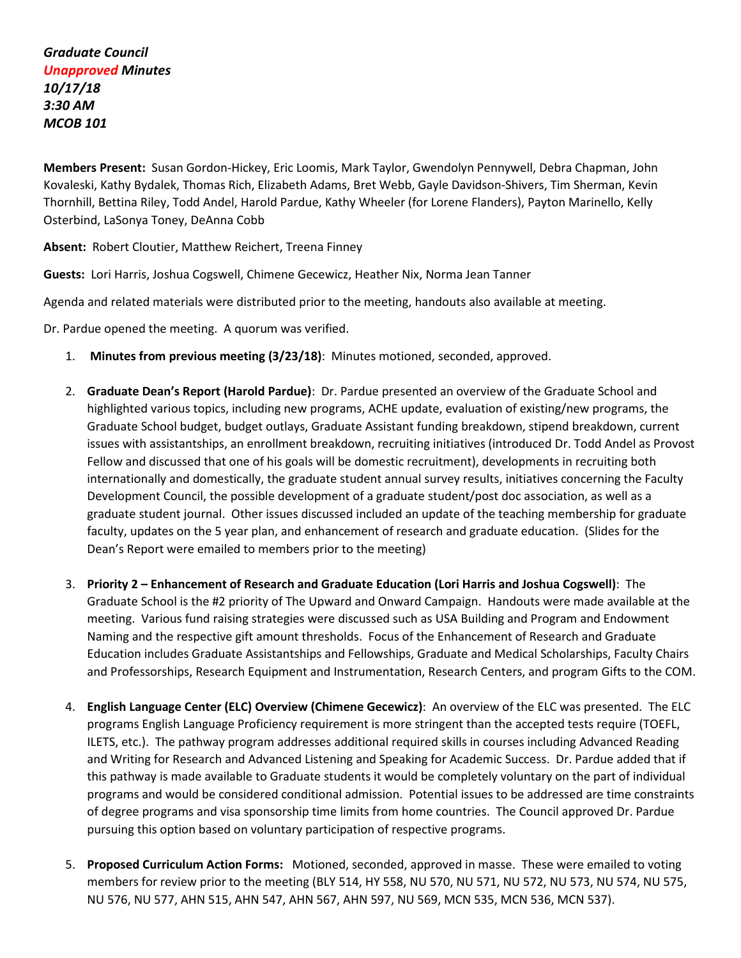**Members Present:** Susan Gordon-Hickey, Eric Loomis, Mark Taylor, Gwendolyn Pennywell, Debra Chapman, John Kovaleski, Kathy Bydalek, Thomas Rich, Elizabeth Adams, Bret Webb, Gayle Davidson-Shivers, Tim Sherman, Kevin Thornhill, Bettina Riley, Todd Andel, Harold Pardue, Kathy Wheeler (for Lorene Flanders), Payton Marinello, Kelly Osterbind, LaSonya Toney, DeAnna Cobb

**Absent:** Robert Cloutier, Matthew Reichert, Treena Finney

**Guests:** Lori Harris, Joshua Cogswell, Chimene Gecewicz, Heather Nix, Norma Jean Tanner

Agenda and related materials were distributed prior to the meeting, handouts also available at meeting.

Dr. Pardue opened the meeting. A quorum was verified.

- 1. **Minutes from previous meeting (3/23/18)**: Minutes motioned, seconded, approved.
- 2. **Graduate Dean's Report (Harold Pardue)**: Dr. Pardue presented an overview of the Graduate School and highlighted various topics, including new programs, ACHE update, evaluation of existing/new programs, the Graduate School budget, budget outlays, Graduate Assistant funding breakdown, stipend breakdown, current issues with assistantships, an enrollment breakdown, recruiting initiatives (introduced Dr. Todd Andel as Provost Fellow and discussed that one of his goals will be domestic recruitment), developments in recruiting both internationally and domestically, the graduate student annual survey results, initiatives concerning the Faculty Development Council, the possible development of a graduate student/post doc association, as well as a graduate student journal. Other issues discussed included an update of the teaching membership for graduate faculty, updates on the 5 year plan, and enhancement of research and graduate education. (Slides for the Dean's Report were emailed to members prior to the meeting)
- 3. **Priority 2 Enhancement of Research and Graduate Education (Lori Harris and Joshua Cogswell)**: The Graduate School is the #2 priority of The Upward and Onward Campaign. Handouts were made available at the meeting. Various fund raising strategies were discussed such as USA Building and Program and Endowment Naming and the respective gift amount thresholds. Focus of the Enhancement of Research and Graduate Education includes Graduate Assistantships and Fellowships, Graduate and Medical Scholarships, Faculty Chairs and Professorships, Research Equipment and Instrumentation, Research Centers, and program Gifts to the COM.
- 4. **English Language Center (ELC) Overview (Chimene Gecewicz)**: An overview of the ELC was presented. The ELC programs English Language Proficiency requirement is more stringent than the accepted tests require (TOEFL, ILETS, etc.). The pathway program addresses additional required skills in courses including Advanced Reading and Writing for Research and Advanced Listening and Speaking for Academic Success. Dr. Pardue added that if this pathway is made available to Graduate students it would be completely voluntary on the part of individual programs and would be considered conditional admission. Potential issues to be addressed are time constraints of degree programs and visa sponsorship time limits from home countries. The Council approved Dr. Pardue pursuing this option based on voluntary participation of respective programs.
- 5. **Proposed Curriculum Action Forms:** Motioned, seconded, approved in masse. These were emailed to voting members for review prior to the meeting (BLY 514, HY 558, NU 570, NU 571, NU 572, NU 573, NU 574, NU 575, NU 576, NU 577, AHN 515, AHN 547, AHN 567, AHN 597, NU 569, MCN 535, MCN 536, MCN 537).